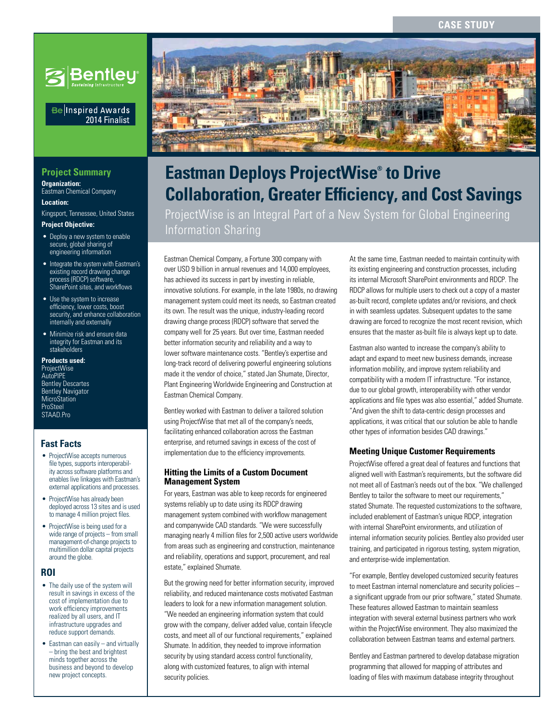

#### Be Inspired Awards 2014 Finalist

# **Project Summary**

**Organization:**  Eastman Chemical Company

**Location:** 

Kingsport, Tennessee, United States **Project Objective:**

# • Deploy a new system to enable

- secure, global sharing of engineering information
- Integrate the system with Eastman's existing record drawing change process (RDCP) software, SharePoint sites, and workflows
- Use the system to increase efficiency, lower costs, boost security, and enhance collaboration internally and externally
- Minimize risk and ensure data integrity for Eastman and its stakeholders

**Products used:** ProjectWise AutoPIPE Bentley Descartes Bentley Navigator **MicroStation** ProSteel STAAD.Pro

# **Fast Facts**

- ProjectWise accepts numerous file types, supports interoperability across software platforms and enables live linkages with Eastman's external applications and processes.
- ProjectWise has already been deployed across 13 sites and is used to manage 4 million project files.
- ProjectWise is being used for a wide range of projects – from small management-of-change projects to multimillion dollar capital projects around the globe.

#### **ROI**

- The daily use of the system will result in savings in excess of the cost of implementation due to work efficiency improvements realized by all users, and IT infrastructure upgrades and reduce support demands.
- Eastman can easily  $-$  and virtually – bring the best and brightest minds together across the business and beyond to develop new project concepts.



# **Collaboration, Greater Efficiency, and Cost Savings Eastman Deploys ProjectWise® to Drive**

ProjectWise is an Integral Part of a New System for Global Engineering Information Sharing

Eastman Chemical Company, a Fortune 300 company with over USD 9 billion in annual revenues and 14,000 employees, has achieved its success in part by investing in reliable, innovative solutions. For example, in the late 1980s, no drawing management system could meet its needs, so Eastman created its own. The result was the unique, industry-leading record drawing change process (RDCP) software that served the company well for 25 years. But over time, Eastman needed better information security and reliability and a way to lower software maintenance costs. "Bentley's expertise and long-track record of delivering powerful engineering solutions made it the vendor of choice," stated Jan Shumate, Director, Plant Engineering Worldwide Engineering and Construction at Eastman Chemical Company.

Bentley worked with Eastman to deliver a tailored solution using ProjectWise that met all of the company's needs, facilitating enhanced collaboration across the Eastman enterprise, and returned savings in excess of the cost of implementation due to the efficiency improvements.

#### **Hitting the Limits of a Custom Document Management System**

For years, Eastman was able to keep records for engineered systems reliably up to date using its RDCP drawing management system combined with workflow management and companywide CAD standards. "We were successfully managing nearly 4 million files for 2,500 active users worldwide from areas such as engineering and construction, maintenance and reliability, operations and support, procurement, and real estate," explained Shumate.

But the growing need for better information security, improved reliability, and reduced maintenance costs motivated Eastman leaders to look for a new information management solution. "We needed an engineering information system that could grow with the company, deliver added value, contain lifecycle costs, and meet all of our functional requirements," explained Shumate. In addition, they needed to improve information security by using standard access control functionality, along with customized features, to align with internal security policies.

At the same time, Eastman needed to maintain continuity with its existing engineering and construction processes, including its internal Microsoft SharePoint environments and RDCP. The RDCP allows for multiple users to check out a copy of a master as-built record, complete updates and/or revisions, and check in with seamless updates. Subsequent updates to the same drawing are forced to recognize the most recent revision, which ensures that the master as-built file is always kept up to date.

Eastman also wanted to increase the company's ability to adapt and expand to meet new business demands, increase information mobility, and improve system reliability and compatibility with a modern IT infrastructure. "For instance, due to our global growth, interoperability with other vendor applications and file types was also essential," added Shumate. "And given the shift to data-centric design processes and applications, it was critical that our solution be able to handle other types of information besides CAD drawings."

#### **Meeting Unique Customer Requirements**

ProjectWise offered a great deal of features and functions that aligned well with Eastman's requirements, but the software did not meet all of Eastman's needs out of the box. "We challenged Bentley to tailor the software to meet our requirements," stated Shumate. The requested customizations to the software, included enablement of Eastman's unique RDCP, integration with internal SharePoint environments, and utilization of internal information security policies. Bentley also provided user training, and participated in rigorous testing, system migration, and enterprise-wide implementation.

"For example, Bentley developed customized security features to meet Eastman internal nomenclature and security policies – a significant upgrade from our prior software," stated Shumate. These features allowed Eastman to maintain seamless integration with several external business partners who work within the ProjectWise environment. They also maximized the collaboration between Eastman teams and external partners.

Bentley and Eastman partnered to develop database migration programming that allowed for mapping of attributes and loading of files with maximum database integrity throughout